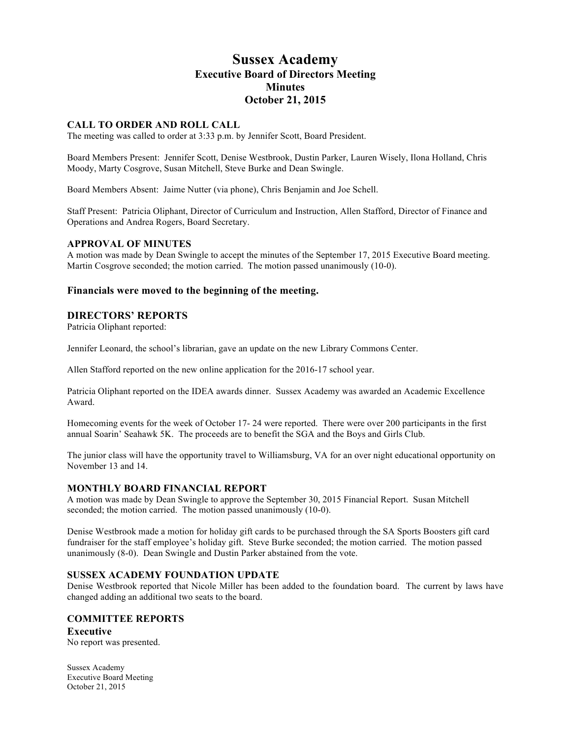# **Sussex Academy Executive Board of Directors Meeting Minutes October 21, 2015**

# **CALL TO ORDER AND ROLL CALL**

The meeting was called to order at 3:33 p.m. by Jennifer Scott, Board President.

Board Members Present: Jennifer Scott, Denise Westbrook, Dustin Parker, Lauren Wisely, Ilona Holland, Chris Moody, Marty Cosgrove, Susan Mitchell, Steve Burke and Dean Swingle.

Board Members Absent: Jaime Nutter (via phone), Chris Benjamin and Joe Schell.

Staff Present: Patricia Oliphant, Director of Curriculum and Instruction, Allen Stafford, Director of Finance and Operations and Andrea Rogers, Board Secretary.

#### **APPROVAL OF MINUTES**

A motion was made by Dean Swingle to accept the minutes of the September 17, 2015 Executive Board meeting. Martin Cosgrove seconded; the motion carried. The motion passed unanimously (10-0).

## **Financials were moved to the beginning of the meeting.**

## **DIRECTORS' REPORTS**

Patricia Oliphant reported:

Jennifer Leonard, the school's librarian, gave an update on the new Library Commons Center.

Allen Stafford reported on the new online application for the 2016-17 school year.

Patricia Oliphant reported on the IDEA awards dinner. Sussex Academy was awarded an Academic Excellence Award.

Homecoming events for the week of October 17- 24 were reported. There were over 200 participants in the first annual Soarin' Seahawk 5K. The proceeds are to benefit the SGA and the Boys and Girls Club.

The junior class will have the opportunity travel to Williamsburg, VA for an over night educational opportunity on November 13 and 14.

## **MONTHLY BOARD FINANCIAL REPORT**

A motion was made by Dean Swingle to approve the September 30, 2015 Financial Report. Susan Mitchell seconded; the motion carried. The motion passed unanimously (10-0).

Denise Westbrook made a motion for holiday gift cards to be purchased through the SA Sports Boosters gift card fundraiser for the staff employee's holiday gift. Steve Burke seconded; the motion carried. The motion passed unanimously (8-0). Dean Swingle and Dustin Parker abstained from the vote.

#### **SUSSEX ACADEMY FOUNDATION UPDATE**

Denise Westbrook reported that Nicole Miller has been added to the foundation board. The current by laws have changed adding an additional two seats to the board.

## **COMMITTEE REPORTS**

**Executive** No report was presented.

Sussex Academy Executive Board Meeting October 21, 2015